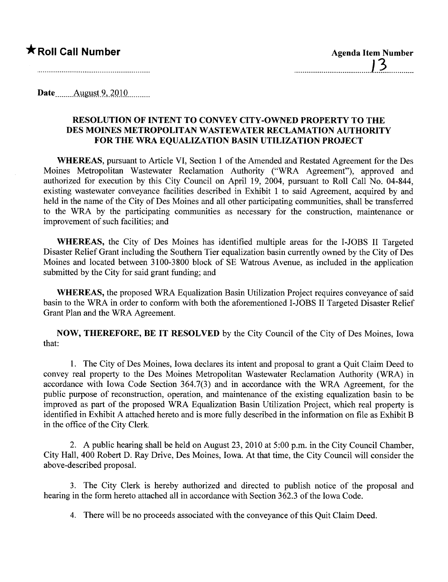## ★ Roll Call Number Agenda Item Number

.....................................1..3.............

Date $\qquad \qquad \text{August 9, 2010}$ 

## RESOLUTION OF INTENT TO CONVEY CITY-OWNED PROPERTY TO THE DES MOINES METROPOLITAN WASTEWATER RECLAMATION AUTHORITY FOR THE WRA EQUALIZATION BASIN UTILIZATION PROJECT

WHEREAS, pursuant to Aricle VI, Section 1 of the Amended and Restated Agreement for the Des Moines Metropolitan Wastewater Reclamation Authority ("WRA Agreement"), approved and authorized for execution by this City Council on April 19, 2004, pursuant to Roll Call No. 04-844, existing wastewater conveyance facilities described in Exhibit 1 to said Agreement, acquired by and held in the name of the City of Des Moines and all other paricipating communities, shall be transferred to the WRA by the participating communities as necessary for the construction, maintenance or improvement of such facilities; and

WHEREAS, the City of Des Moines has identified multiple areas for the I-JOBS II Targeted Disaster Relief Grant including the Southern Tier equalization basin currently owned by the City of Des Moines and located between 3100-3800 block of SE Watrous Avenue, as included in the application submitted by the City for said grant funding; and

WHEREAS, the proposed WRA Equalization Basin Utilization Project requires conveyance of said basin to the WRA in order to conform with both the aforementioned I-JOBS II Targeted Disaster Relief Grant Plan and the WRA Agreement.

NOW, THEREFORE, BE IT RESOLVED by the City Council of the City of Des Moines, Iowa that:

1. The City of Des Moines, Iowa declares its intent and proposal to grant a Quit Claim Deed to convey real property to the Des Moines Metropolitan Wastewater Reclamation Authority (WRA) in accordance with Iowa Code Section 364.7(3) and in accordance with the WRA Agreement, for the public purose of reconstruction, operation, and maintenance of the existing equalization basin to be improved as part of the proposed WRA Equalization Basin Utilization Project, which real property is identified in Exhibit A attached hereto and is more fully described in the information on file as Exhibit B in the office of the City Clerk.

2. A public hearing shall be held on August 23,2010 at 5:00 p.m. in the City Council Chamber, City Hall, 400 Robert D. Ray Drive, Des Moines, Iowa. At that time, the City Council wil consider the above-described proposaL.

3. The City Clerk is hereby authorized and directed to publish notice of the proposal and hearing in the form hereto attached all in accordance with Section 362.3 of the Iowa Code.

4. There will be no proceeds associated with the conveyance of this Quit Claim Deed.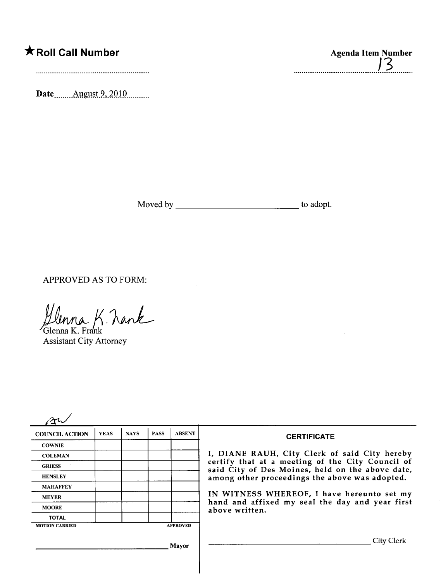## \*Roll Call Number Agenda Item Number

Date<sub>.......</sub> August 9, 2010.........

Moved by to adopt.

J3

in.

.................................

APPROVED AS TO FORM:

Ulnna K. Kank

Assistant City Attorney

|                       | <b>YEAS</b> | <b>NAYS</b> | <b>PASS</b> | <b>ABSENT</b>                                                                                        | <b>CERTIFICATE</b>                                                                                              |
|-----------------------|-------------|-------------|-------------|------------------------------------------------------------------------------------------------------|-----------------------------------------------------------------------------------------------------------------|
| <b>COWNIE</b>         |             |             |             |                                                                                                      |                                                                                                                 |
| <b>COLEMAN</b>        |             |             |             |                                                                                                      | I, DIANE RAUH, City Clerk of said City hereby                                                                   |
| <b>GRIESS</b>         |             |             |             | certify that at a meeting of the City Council of<br>said City of Des Moines, held on the above date, |                                                                                                                 |
| <b>HENSLEY</b>        |             |             |             |                                                                                                      | among other proceedings the above was adopted.                                                                  |
| <b>MAHAFFEY</b>       |             |             |             |                                                                                                      |                                                                                                                 |
| <b>MEYER</b>          |             |             |             |                                                                                                      | IN WITNESS WHEREOF, I have hereunto set my<br>hand and affixed my seal the day and year first<br>above written. |
| <b>MOORE</b>          |             |             |             |                                                                                                      |                                                                                                                 |
| <b>TOTAL</b>          |             |             |             |                                                                                                      |                                                                                                                 |
| <b>MOTION CARRIED</b> |             |             |             | <b>APPROVED</b>                                                                                      |                                                                                                                 |